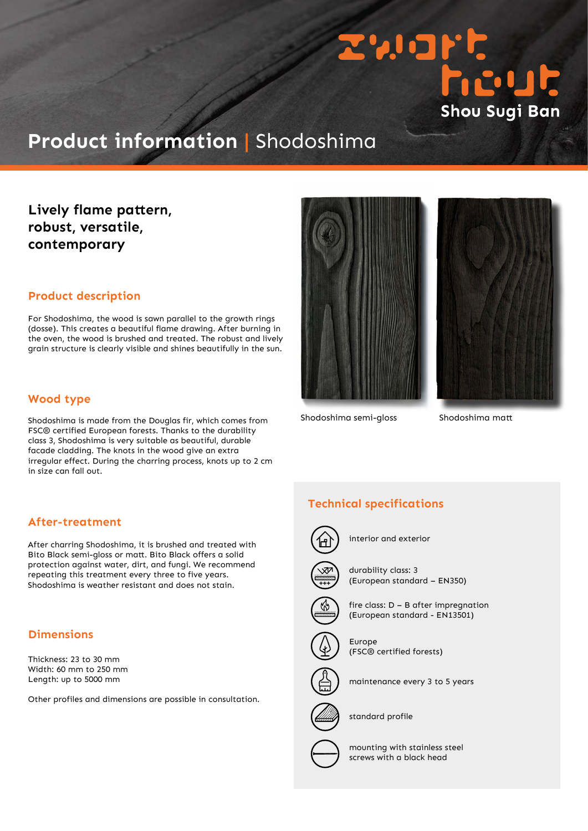

# **Product information |** Shodoshima

## **Lively flame pattern, robust, versatile, contemporary**

#### **Product description**

For Shodoshima, the wood is sawn parallel to the growth rings (dosse). This creates a beautiful flame drawing. After burning in the oven, the wood is brushed and treated. The robust and lively grain structure is clearly visible and shines beautifully in the sun.

#### **Wood type**

Shodoshima is made from the Douglas fir, which comes from FSC® certified European forests. Thanks to the durability class 3, Shodoshima is very suitable as beautiful, durable facade cladding. The knots in the wood give an extra irregular effect. During the charring process, knots up to 2 cm in size can fall out.

### **After-treatment**

After charring Shodoshima, it is brushed and treated with Bito Black semi-gloss or matt. Bito Black offers a solid protection against water, dirt, and fungi. We recommend repeating this treatment every three to five years. Shodoshima is weather resistant and does not stain.

### **Dimensions**

Thickness: 23 to 30 mm Width: 60 mm to 250 mm Length: up to 5000 mm

Other profiles and dimensions are possible in consultation.





Shodoshima semi-gloss Shodoshima matt

## **Technical specifications**



interior and exterior



durability class: 3 (European standard – EN350)



fire class: D – B after impregnation (European standard - EN13501)



Europe (FSC® certified forests)



maintenance every 3 to 5 years



standard profile

mounting with stainless steel screws with a black head